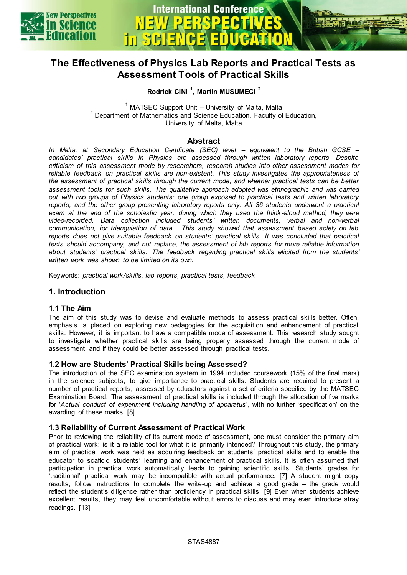



# **The Effectiveness of Physics Lab Reports and Practical Tests as Assessment Tools of Practical Skills**

**Rodrick CINI <sup>1</sup> , Martin MUSUMECI <sup>2</sup>**

 $1$  MATSEC Support Unit – University of Malta, Malta <sup>2</sup> Department of Mathematics and Science Education, Faculty of Education, University of Malta, Malta

# **Abstract**

*In Malta, at Secondary Education Certificate (SEC) level – equivalent to the British GCSE – candidates' practical skills in Physics are assessed through written laboratory reports. Despite criticism of this assessment mode by researchers, research studies into other assessment modes for reliable feedback on practical skills are non-existent. This study investigates the appropriateness of the assessment of practical skills through the current mode, and whether practical tests can be better assessment tools for such skills. The qualitative approach adopted was ethnographic and was carried out with two groups of Physics students: one group exposed to practical tests and written laboratory reports, and the other group presenting laboratory reports only. All 36 students underwent a practical*  exam at the end of the scholastic year, during which they used the think-aloud method; they were *video-recorded. Data collection included students' written documents, verbal and non-verbal communication, for triangulation of data. This study showed that assessment based solely on lab reports does not give suitable feedback on students' practical skills. It was concluded that practical tests should accompany, and not replace, the assessment of lab reports for more reliable information about students' practical skills. The feedback regarding practical skills elicited from the students' written work was shown to be limited on its own.* 

Keywords: *practical work/skills, lab reports, practical tests, feedback* 

# **1. Introduction**

## **1.1 The Aim**

The aim of this study was to devise and evaluate methods to assess practical skills better. Often, emphasis is placed on exploring new pedagogies for the acquisition and enhancement of practical skills. However, it is important to have a compatible mode of assessment. This research study sought to investigate whether practical skills are being properly assessed through the current mode of assessment, and if they could be better assessed through practical tests.

#### **1.2 How are Students' Practical Skills being Assessed?**

The introduction of the SEC examination system in 1994 included coursework (15% of the final mark) in the science subjects, to give importance to practical skills. Students are required to present a number of practical reports, assessed by educators against a set of criteria specified by the MATSEC Examination Board. The assessment of practical skills is included through the allocation of five marks for '*Actual conduct of experiment including handling of apparatus*', with no further 'specification' on the awarding of these marks. [8]

## **1.3 Reliability of Current Assessment of Practical Work**

Prior to reviewing the reliability of its current mode of assessment, one must consider the primary aim of practical work: is it a reliable tool for what it is primarily intended? Throughout this study, the primary aim of practical work was held as acquiring feedback on students' practical skills and to enable the educator to scaffold students' learning and enhancement of practical skills. It is often assumed that participation in practical work automatically leads to gaining scientific skills. Students' grades for 'traditional' practical work may be incompatible with actual performance. [7] A student might copy results, follow instructions to complete the write-up and achieve a good grade – the grade would reflect the student's diligence rather than proficiency in practical skills. [9] Even when students achieve excellent results, they may feel uncomfortable without errors to discuss and may even introduce stray readings. [13]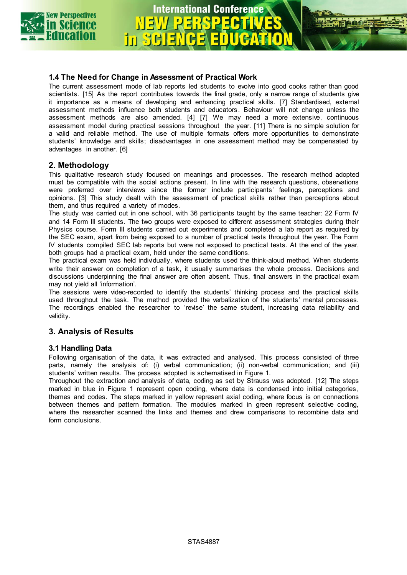

# **International Conference** in SGIE

# **1.4 The Need for Change in Assessment of Practical Work**

The current assessment mode of lab reports led students to evolve into good cooks rather than good scientists. [15] As the report contributes towards the final grade, only a narrow range of students give it importance as a means of developing and enhancing practical skills. [7] Standardised, external assessment methods influence both students and educators. Behaviour will not change unless the assessment methods are also amended. [4] [7] We may need a more extensive, continuous assessment model during practical sessions throughout the year. [11] There is no simple solution for a valid and reliable method. The use of multiple formats offers more opportunities to demonstrate students' knowledge and skills; disadvantages in one assessment method may be compensated by advantages in another. [6]

# **2. Methodology**

This qualitative research study focused on meanings and processes. The research method adopted must be compatible with the social actions present. In line with the research questions, observations were preferred over interviews since the former include participants' feelings, perceptions and opinions. [3] This study dealt with the assessment of practical skills rather than perceptions about them, and thus required a variety of modes.

The study was carried out in one school, with 36 participants taught by the same teacher: 22 Form IV and 14 Form III students. The two groups were exposed to different assessment strategies during their Physics course. Form III students carried out experiments and completed a lab report as required by the SEC exam, apart from being exposed to a number of practical tests throughout the year. The Form IV students compiled SEC lab reports but were not exposed to practical tests. At the end of the year, both groups had a practical exam, held under the same conditions.

The practical exam was held individually, where students used the think-aloud method. When students write their answer on completion of a task, it usually summarises the whole process. Decisions and discussions underpinning the final answer are often absent. Thus, final answers in the practical exam may not yield all 'information'.

The sessions were video-recorded to identify the students' thinking process and the practical skills used throughout the task. The method provided the verbalization of the students' mental processes. The recordings enabled the researcher to 'revise' the same student, increasing data reliability and validity.

# **3. Analysis of Results**

# **3.1 Handling Data**

Following organisation of the data, it was extracted and analysed. This process consisted of three parts, namely the analysis of: (i) verbal communication; (ii) non-verbal communication; and (iii) students' written results. The process adopted is schematised in Figure 1.

Throughout the extraction and analysis of data, coding as set by Strauss was adopted. [12] The steps marked in blue in Figure 1 represent open coding, where data is condensed into initial categories, themes and codes. The steps marked in yellow represent axial coding, where focus is on connections between themes and pattern formation. The modules marked in green represent selective coding, where the researcher scanned the links and themes and drew comparisons to recombine data and form conclusions.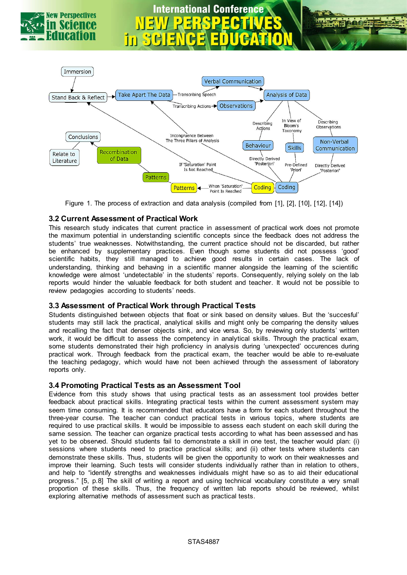

# **International Conference**



Figure 1. The process of extraction and data analysis (compiled from [1], [2], [10], [12], [14])

# **3.2 Current Assessment of Practical Work**

This research study indicates that current practice in assessment of practical work does not promote the maximum potential in understanding scientific concepts since the feedback does not address the students' true weaknesses. Notwithstanding, the current practice should not be discarded, but rather be enhanced by supplementary practices. Even though some students did not possess 'good' scientific habits, they still managed to achieve good results in certain cases. The lack of understanding, thinking and behaving in a scientific manner alongside the learning of the scientific knowledge were almost 'undetectable' in the students' reports. Consequently, relying solely on the lab reports would hinder the valuable feedback for both student and teacher. It would not be possible to review pedagogies according to students' needs.

# **3.3 Assessment of Practical Work through Practical Tests**

Students distinguished between objects that float or sink based on density values. But the 'succesful' students may still lack the practical, analytical skills and might only be comparing the density values and recalling the fact that denser objects sink, and vice versa. So, by reviewing only students' written work, it would be difficult to assess the competency in analytical skills. Through the practical exam, some students demonstrated their high proficiency in analysis during 'unexpected' occurences during practical work. Through feedback from the practical exam, the teacher would be able to re-evaluate the teaching pedagogy, which would have not been achieved through the assessment of laboratory reports only.

# **3.4 Promoting Practical Tests as an Assessment Tool**

Evidence from this study shows that using practical tests as an assessment tool provides better feedback about practical skills. Integrating practical tests within the current assessment system may seem time consuming. It is recommended that educators have a form for each student throughout the three-year course. The teacher can conduct practical tests in various topics, where students are required to use practical skills. It would be impossible to assess each student on each skill during the same session. The teacher can organize practical tests according to what has been assessed and has yet to be observed. Should students fail to demonstrate a skill in one test, the teacher would plan: (i) sessions where students need to practice practical skills; and (ii) other tests where students can demonstrate these skills. Thus, students will be given the opportunity to work on their weaknesses and improve their learning. Such tests will consider students individually rather than in relation to others, and help to "identify strengths and weaknesses individuals might have so as to aid their educational progress." [5, p.8] The skill of writing a report and using technical vocabulary constitute a very small proportion of these skills. Thus, the frequency of written lab reports should be reviewed, whilst exploring alternative methods of assessment such as practical tests.